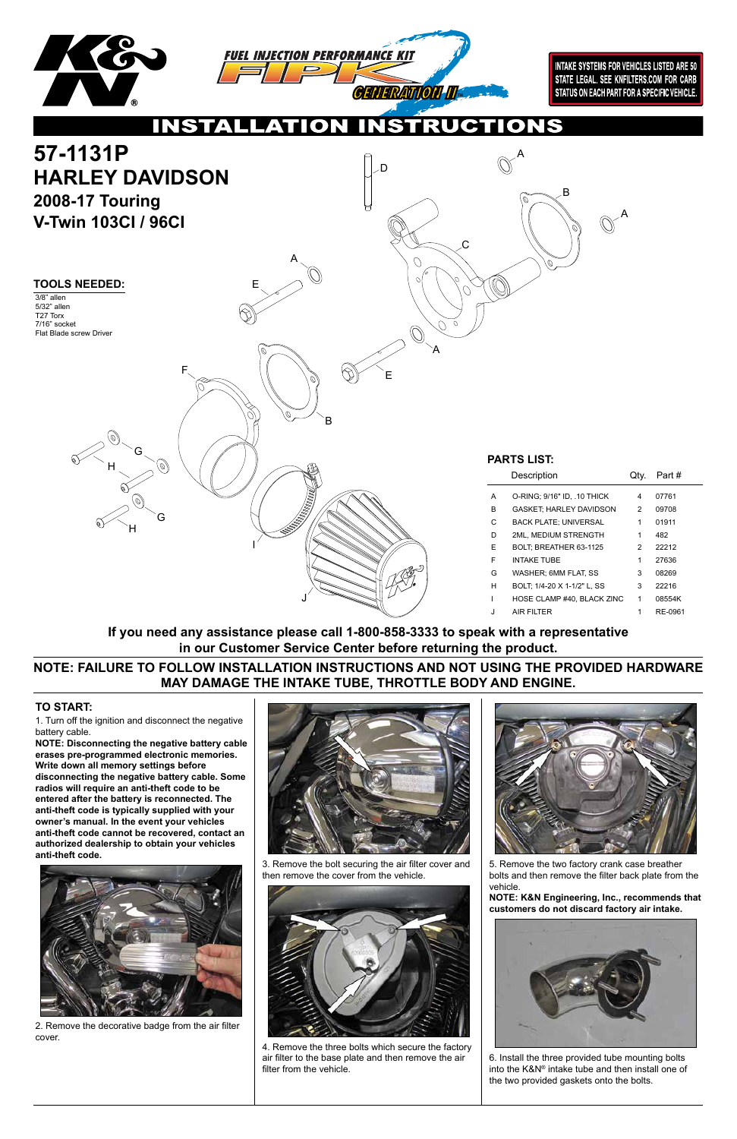1. Turn off the ignition and disconnect the negative battery cable.

**NOTE: Disconnecting the negative battery cable erases pre-programmed electronic memories. Write down all memory settings before disconnecting the negative battery cable. Some radios will require an anti-theft code to be entered after the battery is reconnected. The anti-theft code is typically supplied with your owner's manual. In the event your vehicles anti-theft code cannot be recovered, contact an** 





**authorized dealership to obtain your vehicles anti-theft code.**



## **TO START:**

2. Remove the decorative badge from the air filter cover.

3. Remove the bolt securing the air filter cover and then remove the cover from the vehicle.





4. Remove the three bolts which secure the factory air filter to the base plate and then remove the air filter from the vehicle.

5. Remove the two factory crank case breather bolts and then remove the filter back plate from the vehicle.

**NOTE: K&N Engineering, Inc., recommends that customers do not discard factory air intake.**



6. Install the three provided tube mounting bolts into the K&N® intake tube and then install one of the two provided gaskets onto the bolts.

**NOTE: FAILURE TO FOLLOW INSTALLATION INSTRUCTIONS AND NOT USING THE PROVIDED HARDWARE MAY DAMAGE THE INTAKE TUBE, THROTTLE BODY AND ENGINE.**

**If you need any assistance please call 1-800-858-3333 to speak with a representative in our Customer Service Center before returning the product.**